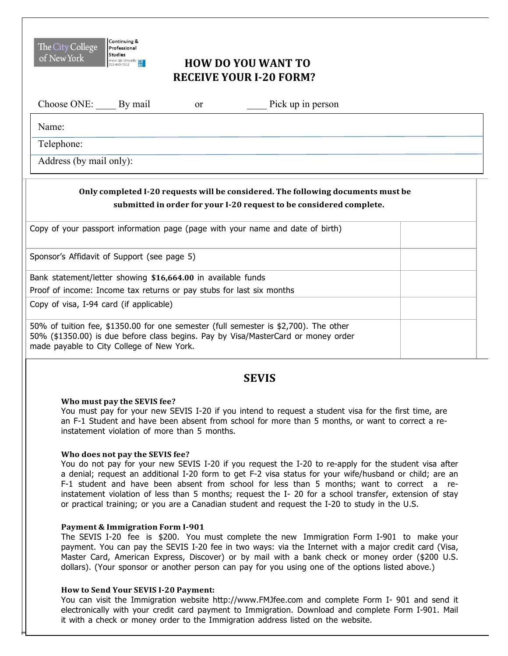# **HOW DO YOU WANT TO RECEIVE YOUR I-20 FORM?**

| Choose ONE: By mail     | <sub>or</sub> | Pick up in person |  |
|-------------------------|---------------|-------------------|--|
| Name:                   |               |                   |  |
| Telephone:              |               |                   |  |
| Address (by mail only): |               |                   |  |

## **Only completed I-20 requests will be considered. The following documents must be submitted in order for your I-20 request to be considered complete.**

| Copy of your passport information page (page with your name and date of birth)                                                                                                                                         |  |
|------------------------------------------------------------------------------------------------------------------------------------------------------------------------------------------------------------------------|--|
| Sponsor's Affidavit of Support (see page 5)                                                                                                                                                                            |  |
| Bank statement/letter showing \$16,664.00 in available funds                                                                                                                                                           |  |
| Proof of income: Income tax returns or pay stubs for last six months                                                                                                                                                   |  |
| Copy of visa, I-94 card (if applicable)                                                                                                                                                                                |  |
| 50% of tuition fee, \$1350.00 for one semester (full semester is \$2,700). The other<br>50% (\$1350.00) is due before class begins. Pay by Visa/MasterCard or money order<br>made payable to City College of New York. |  |

## **SEVIS**

## **Who must pay the SEVIS fee?**

Continuing &

Professional **Studies** 

The City College

of New York

 You must pay for your new SEVIS I-20 if you intend to request a student visa for the first time, are an F-1 Student and have been absent from school for more than 5 months, or want to correct a re-instatement violation of more than 5 months.

## **Who does not pay the SEVIS fee?**

 You do not pay for your new SEVIS I-20 if you request the I-20 to re-apply for the student visa after a denial; request an additional I-20 form to get F-2 visa status for your wife/husband or child; are an F-1 student and have been absent from school for less than 5 months; want to correct a re- instatement violation of less than 5 months; request the I- 20 for a school transfer, extension of stay or practical training; or you are a Canadian student and request the I-20 to study in the U.S.

### **Payment & Immigration Form I-901**

 The SEVIS I-20 fee is \$200. You must complete the new Immigration Form I-901 to make your payment. You can pay the SEVIS I-20 fee in two ways: via the Internet with a major credit card (Visa, Master Card, American Express, Discover) or by mail with a bank check or money order (\$200 U.S. dollars). (Your sponsor or another person can pay for you using one of the options listed above.)

## **How to Send Your SEVIS I-20 Payment:**

 You can visit the Immigration website http://www.FMJfee.com and complete Form I- 901 and send it electronically with your credit card payment to Immigration. Download and complete Form I-901. Mail it with a check or money order to the Immigration address listed on the website.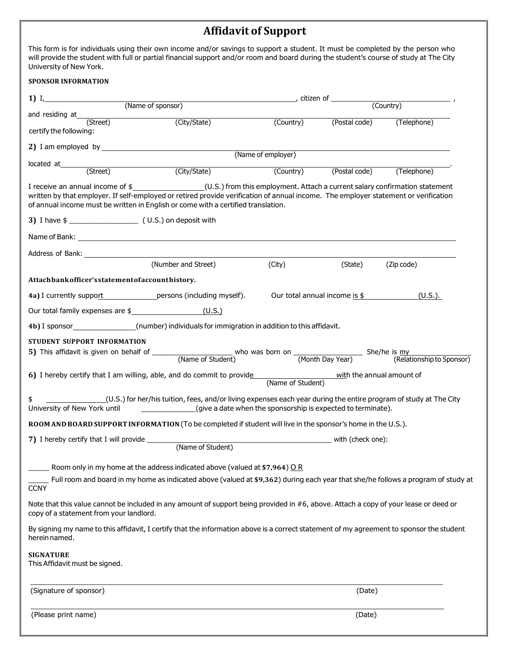## **Affidavit of Support**

 $\overline{a}$  University of New York. This form is for individuals using their own income and/or savings to support a student. It must be completed by the person who will provide the student with full or partial financial support and/or room and board during the student's course of study at The City

| <b>SPONSOR INFORMATION</b>                                                                                                                                                                                                                                                                                                               |                                                                                                                                          |                               |               |                           |  |  |  |  |
|------------------------------------------------------------------------------------------------------------------------------------------------------------------------------------------------------------------------------------------------------------------------------------------------------------------------------------------|------------------------------------------------------------------------------------------------------------------------------------------|-------------------------------|---------------|---------------------------|--|--|--|--|
|                                                                                                                                                                                                                                                                                                                                          |                                                                                                                                          |                               |               |                           |  |  |  |  |
| and residing at_______<br>(Street)                                                                                                                                                                                                                                                                                                       |                                                                                                                                          | (Country)                     |               |                           |  |  |  |  |
| certify the following:                                                                                                                                                                                                                                                                                                                   | (City/State)                                                                                                                             |                               | (Postal code) | (Telephone)               |  |  |  |  |
| (Name of employer)                                                                                                                                                                                                                                                                                                                       |                                                                                                                                          |                               |               |                           |  |  |  |  |
| located at (Street) (City/State)                                                                                                                                                                                                                                                                                                         |                                                                                                                                          | (Country)                     |               | (Postal code) (Telephone) |  |  |  |  |
| I receive an annual income of \$ (U.S.) from this employment. Attach a current salary confirmation statement<br>written by that employer. If self-employed or retired provide verification of annual income. The employer statement or verification<br>of annual income must be written in English or come with a certified translation. |                                                                                                                                          |                               |               |                           |  |  |  |  |
|                                                                                                                                                                                                                                                                                                                                          |                                                                                                                                          |                               |               |                           |  |  |  |  |
|                                                                                                                                                                                                                                                                                                                                          |                                                                                                                                          |                               |               |                           |  |  |  |  |
|                                                                                                                                                                                                                                                                                                                                          | Address of Bank: North Contract of Bank:                                                                                                 |                               |               |                           |  |  |  |  |
|                                                                                                                                                                                                                                                                                                                                          | (Number and Street)                                                                                                                      | (City)                        | (State)       | (Zip code)                |  |  |  |  |
| Attachbankofficer'sstatementofaccounthistory.                                                                                                                                                                                                                                                                                            |                                                                                                                                          |                               |               |                           |  |  |  |  |
|                                                                                                                                                                                                                                                                                                                                          | 4a) I currently support persons (including myself).                                                                                      | Our total annual income is \$ |               | $(U.S.)$ .                |  |  |  |  |
|                                                                                                                                                                                                                                                                                                                                          |                                                                                                                                          |                               |               |                           |  |  |  |  |
|                                                                                                                                                                                                                                                                                                                                          | 4b) I sponsor_________________(number) individuals for immigration in addition to this affidavit.                                        |                               |               |                           |  |  |  |  |
| STUDENT SUPPORT INFORMATION                                                                                                                                                                                                                                                                                                              |                                                                                                                                          |                               |               |                           |  |  |  |  |
|                                                                                                                                                                                                                                                                                                                                          | 6) I hereby certify that I am willing, able, and do commit to provide<br>(Name of Student) with the annual amount of                     |                               |               |                           |  |  |  |  |
|                                                                                                                                                                                                                                                                                                                                          | (U.S.) for her/his tuition, fees, and/or living expenses each year during the entire program of study at The City                        |                               |               |                           |  |  |  |  |
|                                                                                                                                                                                                                                                                                                                                          | ROOM AND BOARD SUPPORT INFORMATION (To be completed if student will live in the sponsor's home in the U.S.).                             |                               |               |                           |  |  |  |  |
| 7) I hereby certify that I will provide<br>(Name of Student)                                                                                                                                                                                                                                                                             |                                                                                                                                          | with (check one):             |               |                           |  |  |  |  |
|                                                                                                                                                                                                                                                                                                                                          | Room only in my home at the address indicated above (valued at \$7,964) $\overline{OR}$                                                  |                               |               |                           |  |  |  |  |
| <b>CCNY</b>                                                                                                                                                                                                                                                                                                                              | Full room and board in my home as indicated above (valued at \$9,362) during each year that she/he follows a program of study at         |                               |               |                           |  |  |  |  |
| copy of a statement from your landlord.                                                                                                                                                                                                                                                                                                  | Note that this value cannot be included in any amount of support being provided in #6, above. Attach a copy of your lease or deed or     |                               |               |                           |  |  |  |  |
| herein named.                                                                                                                                                                                                                                                                                                                            | By signing my name to this affidavit, I certify that the information above is a correct statement of my agreement to sponsor the student |                               |               |                           |  |  |  |  |
| <b>SIGNATURE</b><br>This Affidavit must be signed.                                                                                                                                                                                                                                                                                       |                                                                                                                                          |                               |               |                           |  |  |  |  |
| (Signature of sponsor)                                                                                                                                                                                                                                                                                                                   |                                                                                                                                          |                               | (Date)        |                           |  |  |  |  |
| (Please print name)                                                                                                                                                                                                                                                                                                                      |                                                                                                                                          |                               | (Date)        |                           |  |  |  |  |